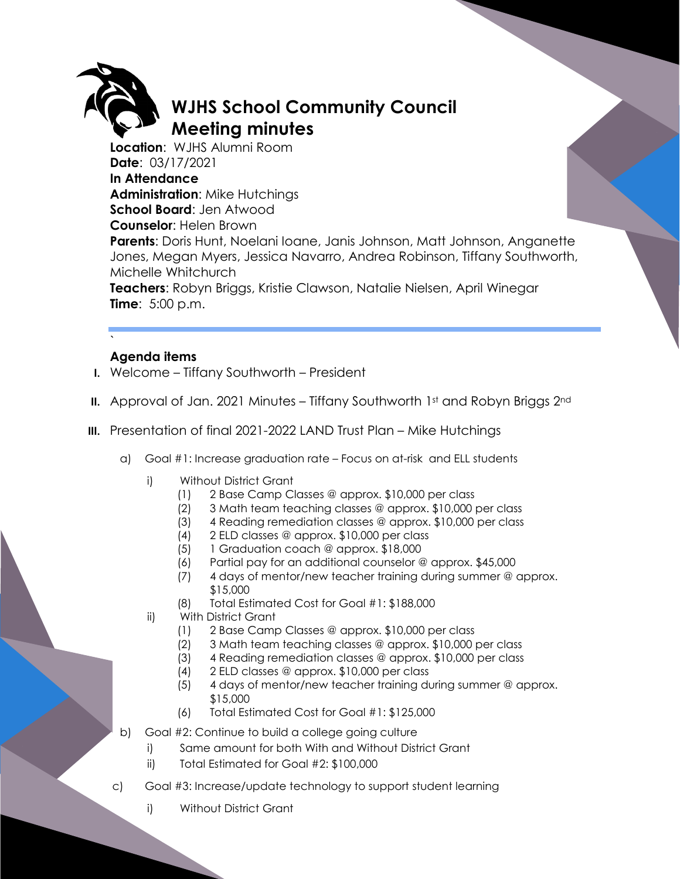

## **WJHS School Community Council Meeting minutes**

**Location**: WJHS Alumni Room **Date**: 03/17/2021 **In Attendance Administration**: Mike Hutchings **School Board**: Jen Atwood **Counselor**: Helen Brown

**Parents**: Doris Hunt, Noelani Ioane, Janis Johnson, Matt Johnson, Anganette Jones, Megan Myers, Jessica Navarro, Andrea Robinson, Tiffany Southworth, Michelle Whitchurch

**Teachers**: Robyn Briggs, Kristie Clawson, Natalie Nielsen, April Winegar **Time**: 5:00 p.m.

## ` **Agenda items**

- **I.** Welcome Tiffany Southworth President
- **II.** Approval of Jan. 2021 Minutes Tiffany Southworth 1st and Robyn Briggs 2nd
- **III.** Presentation of final 2021-2022 LAND Trust Plan Mike Hutchings
	- a) Goal #1: Increase graduation rate Focus on at-risk and ELL students
		- i) Without District Grant
			- (1) 2 Base Camp Classes @ approx. \$10,000 per class
			- (2) 3 Math team teaching classes @ approx. \$10,000 per class
			- (3) 4 Reading remediation classes @ approx. \$10,000 per class
			- (4) 2 ELD classes @ approx. \$10,000 per class
			- (5) 1 Graduation coach @ approx. \$18,000
			- (6) Partial pay for an additional counselor @ approx. \$45,000
			- (7) 4 days of mentor/new teacher training during summer @ approx. \$15,000
			- (8) Total Estimated Cost for Goal #1: \$188,000
		- ii) With District Grant
			- (1) 2 Base Camp Classes @ approx. \$10,000 per class
			- (2) 3 Math team teaching classes @ approx. \$10,000 per class
			- (3) 4 Reading remediation classes @ approx. \$10,000 per class
			- (4) 2 ELD classes @ approx. \$10,000 per class
			- (5) 4 days of mentor/new teacher training during summer @ approx. \$15,000
			- (6) Total Estimated Cost for Goal #1: \$125,000
	- b) Goal #2: Continue to build a college going culture
		- i) Same amount for both With and Without District Grant
		- ii) Total Estimated for Goal #2: \$100,000
	- c) Goal #3: Increase/update technology to support student learning
		- i) Without District Grant